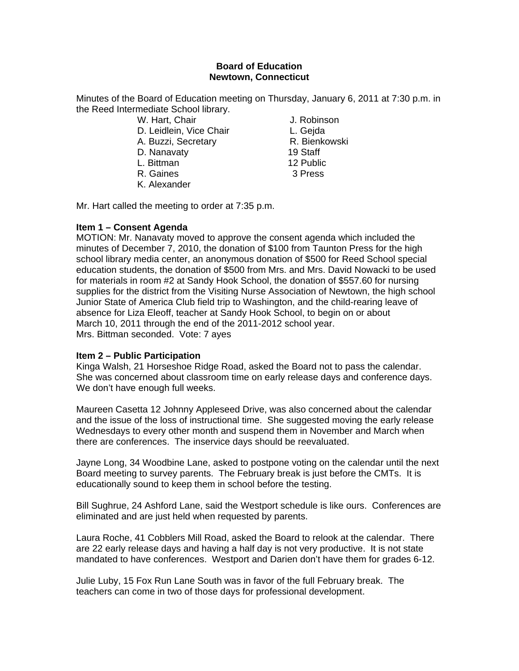# **Board of Education Newtown, Connecticut**

Minutes of the Board of Education meeting on Thursday, January 6, 2011 at 7:30 p.m. in the Reed Intermediate School library.

- W. Hart, Chair **J. Robinson**
- D. Leidlein, Vice Chair **L. Gejda**
- A. Buzzi, Secretary **R. Bienkowski**
- D. Nanavaty 19 Staff
- L. Bittman 12 Public
- R. Gaines 3 Press
- K. Alexander

Mr. Hart called the meeting to order at 7:35 p.m.

# **Item 1 – Consent Agenda**

MOTION: Mr. Nanavaty moved to approve the consent agenda which included the minutes of December 7, 2010, the donation of \$100 from Taunton Press for the high school library media center, an anonymous donation of \$500 for Reed School special education students, the donation of \$500 from Mrs. and Mrs. David Nowacki to be used for materials in room #2 at Sandy Hook School, the donation of \$557.60 for nursing supplies for the district from the Visiting Nurse Association of Newtown, the high school Junior State of America Club field trip to Washington, and the child-rearing leave of absence for Liza Eleoff, teacher at Sandy Hook School, to begin on or about March 10, 2011 through the end of the 2011-2012 school year. Mrs. Bittman seconded. Vote: 7 ayes

# **Item 2 – Public Participation**

Kinga Walsh, 21 Horseshoe Ridge Road, asked the Board not to pass the calendar. She was concerned about classroom time on early release days and conference days. We don't have enough full weeks.

Maureen Casetta 12 Johnny Appleseed Drive, was also concerned about the calendar and the issue of the loss of instructional time. She suggested moving the early release Wednesdays to every other month and suspend them in November and March when there are conferences. The inservice days should be reevaluated.

Jayne Long, 34 Woodbine Lane, asked to postpone voting on the calendar until the next Board meeting to survey parents. The February break is just before the CMTs. It is educationally sound to keep them in school before the testing.

Bill Sughrue, 24 Ashford Lane, said the Westport schedule is like ours. Conferences are eliminated and are just held when requested by parents.

Laura Roche, 41 Cobblers Mill Road, asked the Board to relook at the calendar. There are 22 early release days and having a half day is not very productive. It is not state mandated to have conferences. Westport and Darien don't have them for grades 6-12.

Julie Luby, 15 Fox Run Lane South was in favor of the full February break. The teachers can come in two of those days for professional development.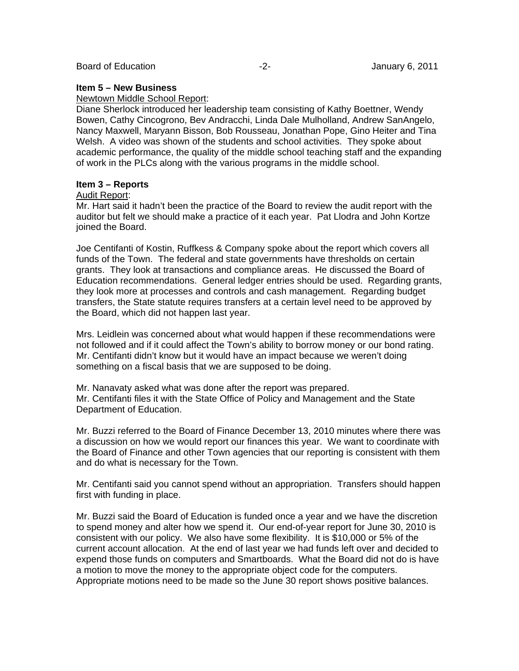#### **Item 5 – New Business**

#### Newtown Middle School Report:

Diane Sherlock introduced her leadership team consisting of Kathy Boettner, Wendy Bowen, Cathy Cincogrono, Bev Andracchi, Linda Dale Mulholland, Andrew SanAngelo, Nancy Maxwell, Maryann Bisson, Bob Rousseau, Jonathan Pope, Gino Heiter and Tina Welsh. A video was shown of the students and school activities. They spoke about academic performance, the quality of the middle school teaching staff and the expanding of work in the PLCs along with the various programs in the middle school.

## **Item 3 – Reports**

### Audit Report:

Mr. Hart said it hadn't been the practice of the Board to review the audit report with the auditor but felt we should make a practice of it each year. Pat Llodra and John Kortze joined the Board.

Joe Centifanti of Kostin, Ruffkess & Company spoke about the report which covers all funds of the Town. The federal and state governments have thresholds on certain grants. They look at transactions and compliance areas. He discussed the Board of Education recommendations. General ledger entries should be used. Regarding grants, they look more at processes and controls and cash management. Regarding budget transfers, the State statute requires transfers at a certain level need to be approved by the Board, which did not happen last year.

Mrs. Leidlein was concerned about what would happen if these recommendations were not followed and if it could affect the Town's ability to borrow money or our bond rating. Mr. Centifanti didn't know but it would have an impact because we weren't doing something on a fiscal basis that we are supposed to be doing.

Mr. Nanavaty asked what was done after the report was prepared. Mr. Centifanti files it with the State Office of Policy and Management and the State Department of Education.

Mr. Buzzi referred to the Board of Finance December 13, 2010 minutes where there was a discussion on how we would report our finances this year. We want to coordinate with the Board of Finance and other Town agencies that our reporting is consistent with them and do what is necessary for the Town.

Mr. Centifanti said you cannot spend without an appropriation. Transfers should happen first with funding in place.

Mr. Buzzi said the Board of Education is funded once a year and we have the discretion to spend money and alter how we spend it. Our end-of-year report for June 30, 2010 is consistent with our policy. We also have some flexibility. It is \$10,000 or 5% of the current account allocation. At the end of last year we had funds left over and decided to expend those funds on computers and Smartboards. What the Board did not do is have a motion to move the money to the appropriate object code for the computers. Appropriate motions need to be made so the June 30 report shows positive balances.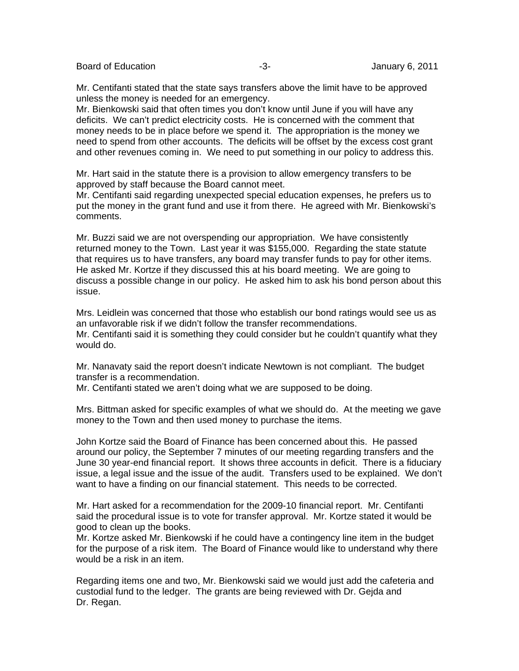Board of Education **-3-** Figure -3- Figure 1 and  $\overline{a}$  5-

Mr. Centifanti stated that the state says transfers above the limit have to be approved unless the money is needed for an emergency.

Mr. Bienkowski said that often times you don't know until June if you will have any deficits. We can't predict electricity costs. He is concerned with the comment that money needs to be in place before we spend it. The appropriation is the money we need to spend from other accounts. The deficits will be offset by the excess cost grant and other revenues coming in. We need to put something in our policy to address this.

Mr. Hart said in the statute there is a provision to allow emergency transfers to be approved by staff because the Board cannot meet.

Mr. Centifanti said regarding unexpected special education expenses, he prefers us to put the money in the grant fund and use it from there. He agreed with Mr. Bienkowski's comments.

Mr. Buzzi said we are not overspending our appropriation. We have consistently returned money to the Town. Last year it was \$155,000. Regarding the state statute that requires us to have transfers, any board may transfer funds to pay for other items. He asked Mr. Kortze if they discussed this at his board meeting. We are going to discuss a possible change in our policy. He asked him to ask his bond person about this issue.

Mrs. Leidlein was concerned that those who establish our bond ratings would see us as an unfavorable risk if we didn't follow the transfer recommendations. Mr. Centifanti said it is something they could consider but he couldn't quantify what they would do.

Mr. Nanavaty said the report doesn't indicate Newtown is not compliant. The budget transfer is a recommendation.

Mr. Centifanti stated we aren't doing what we are supposed to be doing.

Mrs. Bittman asked for specific examples of what we should do. At the meeting we gave money to the Town and then used money to purchase the items.

John Kortze said the Board of Finance has been concerned about this. He passed around our policy, the September 7 minutes of our meeting regarding transfers and the June 30 year-end financial report. It shows three accounts in deficit. There is a fiduciary issue, a legal issue and the issue of the audit. Transfers used to be explained. We don't want to have a finding on our financial statement. This needs to be corrected.

Mr. Hart asked for a recommendation for the 2009-10 financial report. Mr. Centifanti said the procedural issue is to vote for transfer approval. Mr. Kortze stated it would be good to clean up the books.

Mr. Kortze asked Mr. Bienkowski if he could have a contingency line item in the budget for the purpose of a risk item. The Board of Finance would like to understand why there would be a risk in an item.

Regarding items one and two, Mr. Bienkowski said we would just add the cafeteria and custodial fund to the ledger. The grants are being reviewed with Dr. Gejda and Dr. Regan.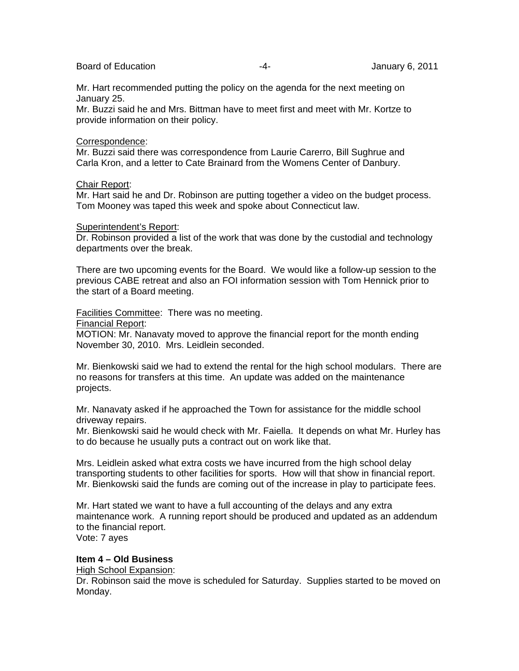### Board of Education **-4-** Figure -4- **January 6, 2011**

Mr. Hart recommended putting the policy on the agenda for the next meeting on January 25.

Mr. Buzzi said he and Mrs. Bittman have to meet first and meet with Mr. Kortze to provide information on their policy.

## Correspondence:

Mr. Buzzi said there was correspondence from Laurie Carerro, Bill Sughrue and Carla Kron, and a letter to Cate Brainard from the Womens Center of Danbury.

## Chair Report:

Mr. Hart said he and Dr. Robinson are putting together a video on the budget process. Tom Mooney was taped this week and spoke about Connecticut law.

## Superintendent's Report:

Dr. Robinson provided a list of the work that was done by the custodial and technology departments over the break.

There are two upcoming events for the Board. We would like a follow-up session to the previous CABE retreat and also an FOI information session with Tom Hennick prior to the start of a Board meeting.

Facilities Committee: There was no meeting.

#### Financial Report:

MOTION: Mr. Nanavaty moved to approve the financial report for the month ending November 30, 2010. Mrs. Leidlein seconded.

Mr. Bienkowski said we had to extend the rental for the high school modulars. There are no reasons for transfers at this time. An update was added on the maintenance projects.

Mr. Nanavaty asked if he approached the Town for assistance for the middle school driveway repairs.

Mr. Bienkowski said he would check with Mr. Faiella. It depends on what Mr. Hurley has to do because he usually puts a contract out on work like that.

Mrs. Leidlein asked what extra costs we have incurred from the high school delay transporting students to other facilities for sports. How will that show in financial report. Mr. Bienkowski said the funds are coming out of the increase in play to participate fees.

Mr. Hart stated we want to have a full accounting of the delays and any extra maintenance work. A running report should be produced and updated as an addendum to the financial report.

Vote: 7 ayes

# **Item 4 – Old Business**

## High School Expansion:

Dr. Robinson said the move is scheduled for Saturday. Supplies started to be moved on Monday.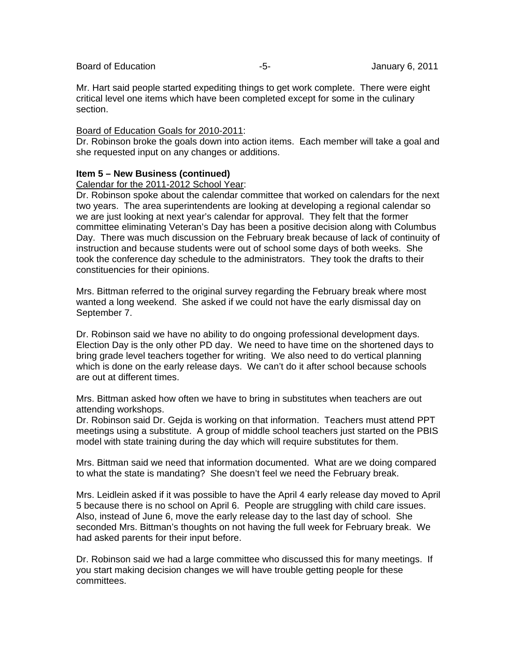Mr. Hart said people started expediting things to get work complete. There were eight critical level one items which have been completed except for some in the culinary section.

## Board of Education Goals for 2010-2011:

Dr. Robinson broke the goals down into action items. Each member will take a goal and she requested input on any changes or additions.

# **Item 5 – New Business (continued)**

Calendar for the 2011-2012 School Year:

Dr. Robinson spoke about the calendar committee that worked on calendars for the next two years. The area superintendents are looking at developing a regional calendar so we are just looking at next year's calendar for approval. They felt that the former committee eliminating Veteran's Day has been a positive decision along with Columbus Day. There was much discussion on the February break because of lack of continuity of instruction and because students were out of school some days of both weeks. She took the conference day schedule to the administrators. They took the drafts to their constituencies for their opinions.

Mrs. Bittman referred to the original survey regarding the February break where most wanted a long weekend. She asked if we could not have the early dismissal day on September 7.

Dr. Robinson said we have no ability to do ongoing professional development days. Election Day is the only other PD day. We need to have time on the shortened days to bring grade level teachers together for writing. We also need to do vertical planning which is done on the early release days. We can't do it after school because schools are out at different times.

Mrs. Bittman asked how often we have to bring in substitutes when teachers are out attending workshops.

Dr. Robinson said Dr. Gejda is working on that information. Teachers must attend PPT meetings using a substitute. A group of middle school teachers just started on the PBIS model with state training during the day which will require substitutes for them.

Mrs. Bittman said we need that information documented. What are we doing compared to what the state is mandating? She doesn't feel we need the February break.

Mrs. Leidlein asked if it was possible to have the April 4 early release day moved to April 5 because there is no school on April 6. People are struggling with child care issues. Also, instead of June 6, move the early release day to the last day of school. She seconded Mrs. Bittman's thoughts on not having the full week for February break. We had asked parents for their input before.

Dr. Robinson said we had a large committee who discussed this for many meetings. If you start making decision changes we will have trouble getting people for these committees.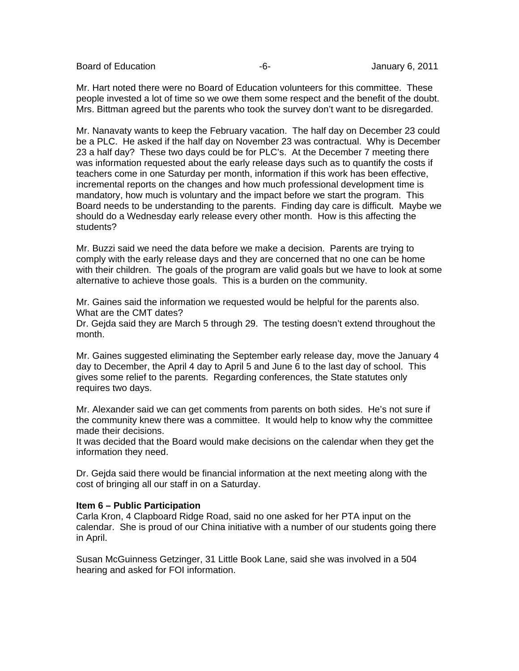Board of Education **-6-** Figure -6- Figure 1.1 Application of Education and Tanagers -6-

Mr. Hart noted there were no Board of Education volunteers for this committee. These people invested a lot of time so we owe them some respect and the benefit of the doubt. Mrs. Bittman agreed but the parents who took the survey don't want to be disregarded.

Mr. Nanavaty wants to keep the February vacation. The half day on December 23 could be a PLC. He asked if the half day on November 23 was contractual. Why is December 23 a half day? These two days could be for PLC's. At the December 7 meeting there was information requested about the early release days such as to quantify the costs if teachers come in one Saturday per month, information if this work has been effective, incremental reports on the changes and how much professional development time is mandatory, how much is voluntary and the impact before we start the program. This Board needs to be understanding to the parents. Finding day care is difficult. Maybe we should do a Wednesday early release every other month. How is this affecting the students?

Mr. Buzzi said we need the data before we make a decision. Parents are trying to comply with the early release days and they are concerned that no one can be home with their children. The goals of the program are valid goals but we have to look at some alternative to achieve those goals. This is a burden on the community.

Mr. Gaines said the information we requested would be helpful for the parents also. What are the CMT dates?

Dr. Gejda said they are March 5 through 29. The testing doesn't extend throughout the month.

Mr. Gaines suggested eliminating the September early release day, move the January 4 day to December, the April 4 day to April 5 and June 6 to the last day of school. This gives some relief to the parents. Regarding conferences, the State statutes only requires two days.

Mr. Alexander said we can get comments from parents on both sides. He's not sure if the community knew there was a committee. It would help to know why the committee made their decisions.

It was decided that the Board would make decisions on the calendar when they get the information they need.

Dr. Gejda said there would be financial information at the next meeting along with the cost of bringing all our staff in on a Saturday.

## **Item 6 – Public Participation**

Carla Kron, 4 Clapboard Ridge Road, said no one asked for her PTA input on the calendar. She is proud of our China initiative with a number of our students going there in April.

Susan McGuinness Getzinger, 31 Little Book Lane, said she was involved in a 504 hearing and asked for FOI information.